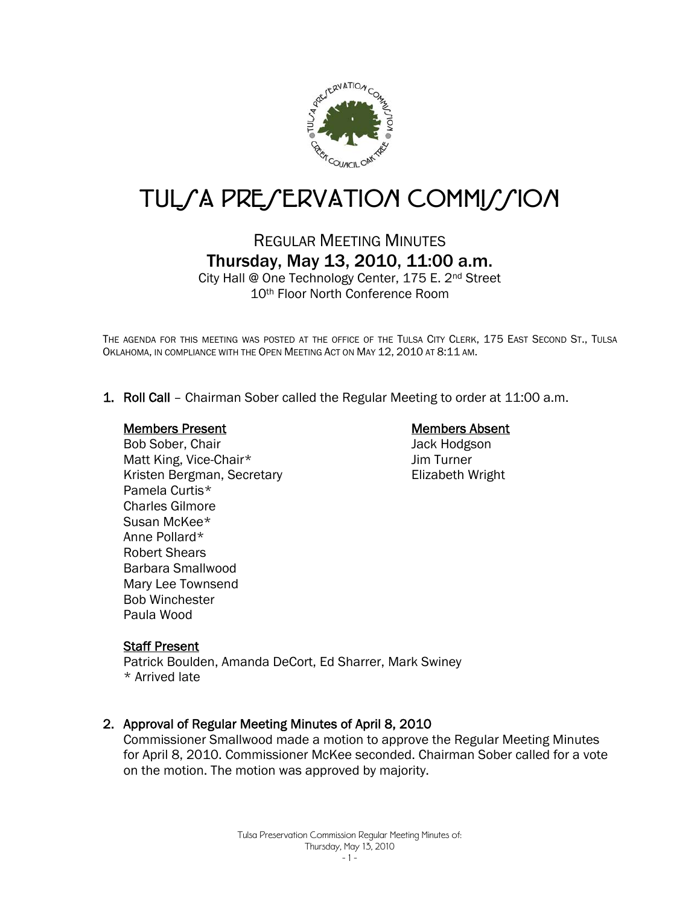

# TUL*SA PRESERVATION COMMISSION*

# REGULAR MEETING MINUTES Thursday, May 13, 2010, 11:00 a.m.

City Hall @ One Technology Center, 175 E. 2nd Street 10th Floor North Conference Room

THE AGENDA FOR THIS MEETING WAS POSTED AT THE OFFICE OF THE TULSA CITY CLERK, 175 EAST SECOND ST., TULSA OKLAHOMA, IN COMPLIANCE WITH THE OPEN MEETING ACT ON MAY 12, 2010 AT 8:11 AM.

1. Roll Call – Chairman Sober called the Regular Meeting to order at 11:00 a.m.

#### Members Present

Bob Sober, Chair Matt King, Vice-Chair\* Kristen Bergman, Secretary Pamela Curtis\* Charles Gilmore Susan McKee\* Anne Pollard\* Robert Shears Barbara Smallwood Mary Lee Townsend Bob Winchester Paula Wood

#### Members Absent

Jack Hodgson Jim Turner Elizabeth Wright

#### Staff Present

Patrick Boulden, Amanda DeCort, Ed Sharrer, Mark Swiney \* Arrived late

#### 2. Approval of Regular Meeting Minutes of April 8, 2010

Commissioner Smallwood made a motion to approve the Regular Meeting Minutes for April 8, 2010. Commissioner McKee seconded. Chairman Sober called for a vote on the motion. The motion was approved by majority.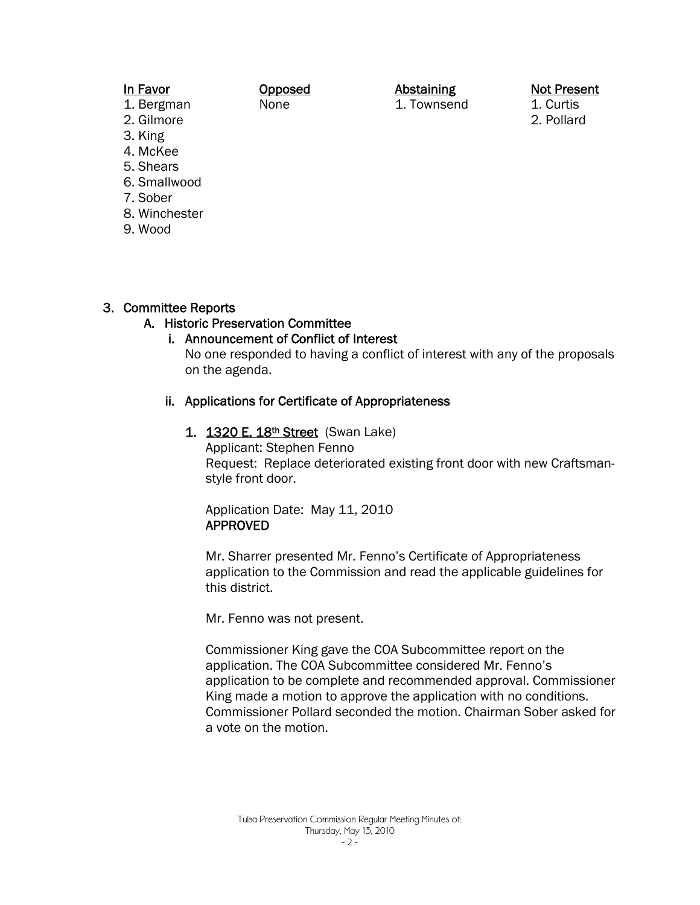### In Favor

#### Opposed None

## Abstaining

1. Townsend

Not Present 1. Curtis

2. Pollard

- 1. Bergman 2. Gilmore
- 3. King
- 4. McKee
- 5. Shears
- 6. Smallwood
- 7. Sober
- 8. Winchester
- 9. Wood

# 3. Committee Reports

# A. Historic Preservation Committee

# i. Announcement of Conflict of Interest

No one responded to having a conflict of interest with any of the proposals on the agenda.

# ii. Applications for Certificate of Appropriateness

1. 1320 E. 18<sup>th</sup> Street (Swan Lake) Applicant: Stephen Fenno Request: Replace deteriorated existing front door with new Craftsmanstyle front door.

Application Date: May 11, 2010 APPROVED

Mr. Sharrer presented Mr. Fenno's Certificate of Appropriateness application to the Commission and read the applicable guidelines for this district.

Mr. Fenno was not present.

Commissioner King gave the COA Subcommittee report on the application. The COA Subcommittee considered Mr. Fenno's application to be complete and recommended approval. Commissioner King made a motion to approve the application with no conditions. Commissioner Pollard seconded the motion. Chairman Sober asked for a vote on the motion.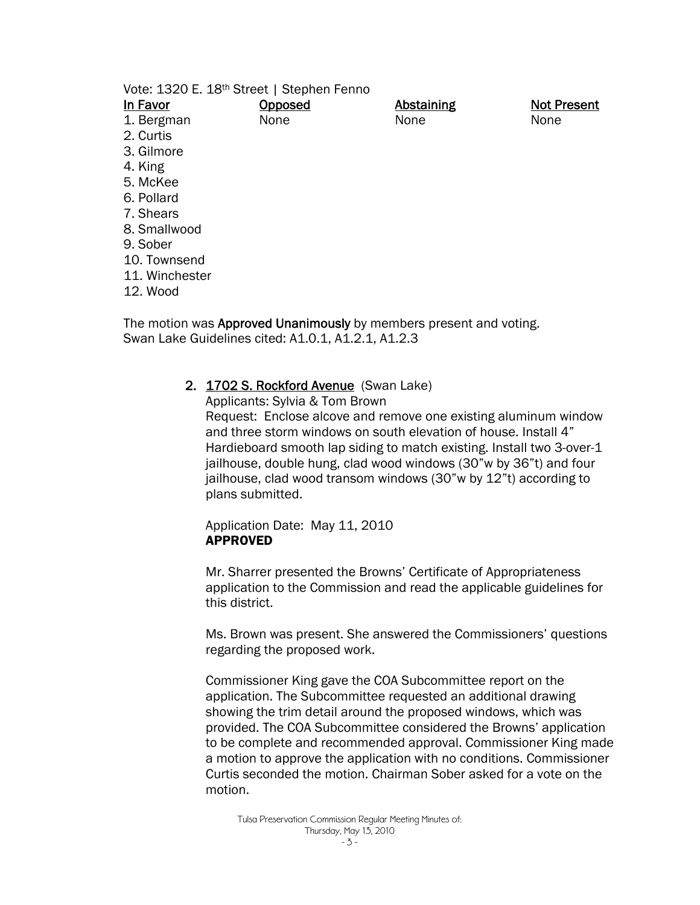|                | Vote: 1320 E. 18 <sup>th</sup> Street   Stephen Fenno |                   |                    |
|----------------|-------------------------------------------------------|-------------------|--------------------|
| In Favor       | <u>Opposed</u>                                        | <b>Abstaining</b> | <b>Not Present</b> |
| 1. Bergman     | None                                                  | None              | None               |
| 2. Curtis      |                                                       |                   |                    |
| 3. Gilmore     |                                                       |                   |                    |
| 4. King        |                                                       |                   |                    |
| 5. McKee       |                                                       |                   |                    |
| 6. Pollard     |                                                       |                   |                    |
| 7. Shears      |                                                       |                   |                    |
| 8. Smallwood   |                                                       |                   |                    |
| 9. Sober       |                                                       |                   |                    |
| 10. Townsend   |                                                       |                   |                    |
| 11. Winchester |                                                       |                   |                    |
| 12. Wood       |                                                       |                   |                    |
|                |                                                       |                   |                    |

The motion was **Approved Unanimously** by members present and voting. Swan Lake Guidelines cited: A1.0.1, A1.2.1, A1.2.3

#### 2. 1702 S. Rockford Avenue (Swan Lake)

Applicants: Sylvia & Tom Brown

Request: Enclose alcove and remove one existing aluminum window and three storm windows on south elevation of house. Install 4" Hardieboard smooth lap siding to match existing. Install two 3-over-1 jailhouse, double hung, clad wood windows (30"w by 36"t) and four jailhouse, clad wood transom windows (30"w by 12"t) according to plans submitted.

Application Date: May 11, 2010 APPROVED

Mr. Sharrer presented the Browns' Certificate of Appropriateness application to the Commission and read the applicable guidelines for this district.

Ms. Brown was present. She answered the Commissioners' questions regarding the proposed work.

Commissioner King gave the COA Subcommittee report on the application. The Subcommittee requested an additional drawing showing the trim detail around the proposed windows, which was provided. The COA Subcommittee considered the Browns' application to be complete and recommended approval. Commissioner King made a motion to approve the application with no conditions. Commissioner Curtis seconded the motion. Chairman Sober asked for a vote on the motion.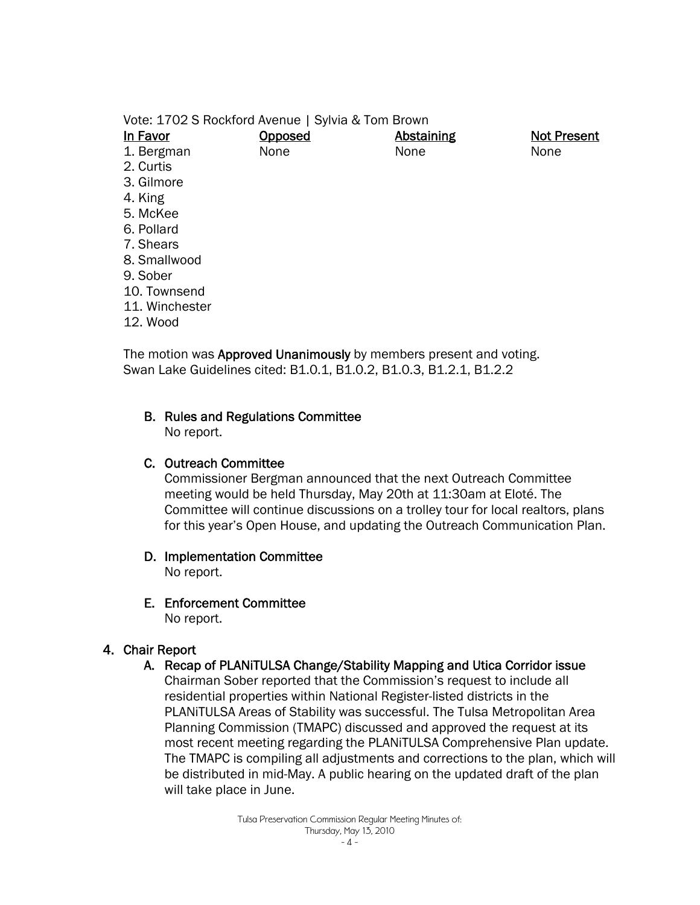Vote: 1702 S Rockford Avenue | Sylvia & Tom Brown In Favor 1. Bergman 2. Curtis 3. Gilmore 4. King 5. McKee 6. Pollard 7. Shears 8. Smallwood 9. Sober 10. Townsend 11. Winchester **Opposed** None Abstaining None Not Present None

12. Wood

The motion was **Approved Unanimously** by members present and voting. Swan Lake Guidelines cited: B1.0.1, B1.0.2, B1.0.3, B1.2.1, B1.2.2

#### B. Rules and Regulations Committee

No report.

#### C. Outreach Committee

Commissioner Bergman announced that the next Outreach Committee meeting would be held Thursday, May 20th at 11:30am at Eloté. The Committee will continue discussions on a trolley tour for local realtors, plans for this year's Open House, and updating the Outreach Communication Plan.

#### D. Implementation Committee

No report.

## E. Enforcement Committee

No report.

## 4. Chair Report

## A. Recap of PLANiTULSA Change/Stability Mapping and Utica Corridor issue

Chairman Sober reported that the Commission's request to include all residential properties within National Register-listed districts in the PLANiTULSA Areas of Stability was successful. The Tulsa Metropolitan Area Planning Commission (TMAPC) discussed and approved the request at its most recent meeting regarding the PLANiTULSA Comprehensive Plan update. The TMAPC is compiling all adjustments and corrections to the plan, which will be distributed in mid-May. A public hearing on the updated draft of the plan will take place in June.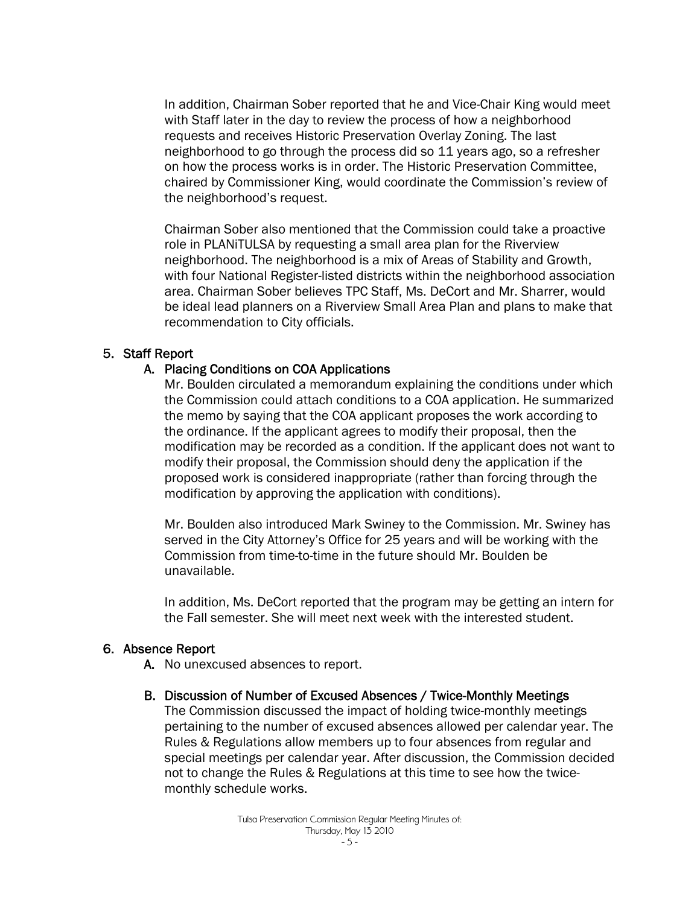In addition, Chairman Sober reported that he and Vice-Chair King would meet with Staff later in the day to review the process of how a neighborhood requests and receives Historic Preservation Overlay Zoning. The last neighborhood to go through the process did so 11 years ago, so a refresher on how the process works is in order. The Historic Preservation Committee, chaired by Commissioner King, would coordinate the Commission's review of the neighborhood's request.

Chairman Sober also mentioned that the Commission could take a proactive role in PLANiTULSA by requesting a small area plan for the Riverview neighborhood. The neighborhood is a mix of Areas of Stability and Growth, with four National Register-listed districts within the neighborhood association area. Chairman Sober believes TPC Staff, Ms. DeCort and Mr. Sharrer, would be ideal lead planners on a Riverview Small Area Plan and plans to make that recommendation to City officials.

#### 5. Staff Report

#### A. Placing Conditions on COA Applications

Mr. Boulden circulated a memorandum explaining the conditions under which the Commission could attach conditions to a COA application. He summarized the memo by saying that the COA applicant proposes the work according to the ordinance. If the applicant agrees to modify their proposal, then the modification may be recorded as a condition. If the applicant does not want to modify their proposal, the Commission should deny the application if the proposed work is considered inappropriate (rather than forcing through the modification by approving the application with conditions).

Mr. Boulden also introduced Mark Swiney to the Commission. Mr. Swiney has served in the City Attorney's Office for 25 years and will be working with the Commission from time-to-time in the future should Mr. Boulden be unavailable.

In addition, Ms. DeCort reported that the program may be getting an intern for the Fall semester. She will meet next week with the interested student.

#### 6. Absence Report

- A. No unexcused absences to report.
- B. Discussion of Number of Excused Absences / Twice-Monthly Meetings

The Commission discussed the impact of holding twice-monthly meetings pertaining to the number of excused absences allowed per calendar year. The Rules & Regulations allow members up to four absences from regular and special meetings per calendar year. After discussion, the Commission decided not to change the Rules & Regulations at this time to see how the twicemonthly schedule works.